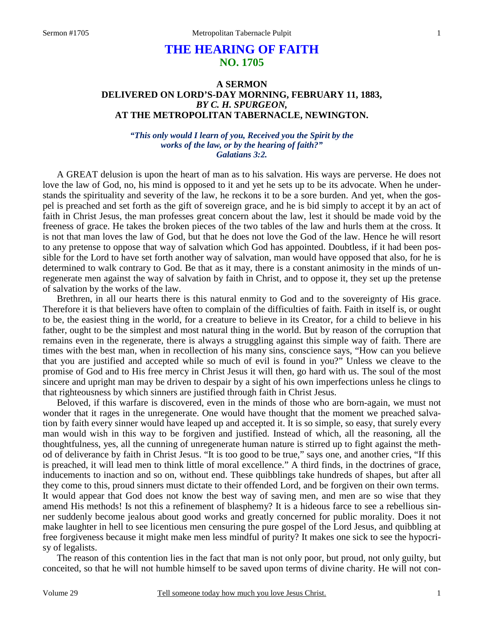# **THE HEARING OF FAITH NO. 1705**

# **A SERMON DELIVERED ON LORD'S-DAY MORNING, FEBRUARY 11, 1883,** *BY C. H. SPURGEON,*  **AT THE METROPOLITAN TABERNACLE, NEWINGTON.**

*"This only would I learn of you, Received you the Spirit by the works of the law, or by the hearing of faith?" Galatians 3:2.* 

A GREAT delusion is upon the heart of man as to his salvation. His ways are perverse. He does not love the law of God, no, his mind is opposed to it and yet he sets up to be its advocate. When he understands the spirituality and severity of the law, he reckons it to be a sore burden. And yet, when the gospel is preached and set forth as the gift of sovereign grace, and he is bid simply to accept it by an act of faith in Christ Jesus, the man professes great concern about the law, lest it should be made void by the freeness of grace. He takes the broken pieces of the two tables of the law and hurls them at the cross. It is not that man loves the law of God, but that he does not love the God of the law. Hence he will resort to any pretense to oppose that way of salvation which God has appointed. Doubtless, if it had been possible for the Lord to have set forth another way of salvation, man would have opposed that also, for he is determined to walk contrary to God. Be that as it may, there is a constant animosity in the minds of unregenerate men against the way of salvation by faith in Christ, and to oppose it, they set up the pretense of salvation by the works of the law.

 Brethren, in all our hearts there is this natural enmity to God and to the sovereignty of His grace. Therefore it is that believers have often to complain of the difficulties of faith. Faith in itself is, or ought to be, the easiest thing in the world, for a creature to believe in its Creator, for a child to believe in his father, ought to be the simplest and most natural thing in the world. But by reason of the corruption that remains even in the regenerate, there is always a struggling against this simple way of faith. There are times with the best man, when in recollection of his many sins, conscience says, "How can you believe that you are justified and accepted while so much of evil is found in you?" Unless we cleave to the promise of God and to His free mercy in Christ Jesus it will then, go hard with us. The soul of the most sincere and upright man may be driven to despair by a sight of his own imperfections unless he clings to that righteousness by which sinners are justified through faith in Christ Jesus.

 Beloved, if this warfare is discovered, even in the minds of those who are born-again, we must not wonder that it rages in the unregenerate. One would have thought that the moment we preached salvation by faith every sinner would have leaped up and accepted it. It is so simple, so easy, that surely every man would wish in this way to be forgiven and justified. Instead of which, all the reasoning, all the thoughtfulness, yes, all the cunning of unregenerate human nature is stirred up to fight against the method of deliverance by faith in Christ Jesus. "It is too good to be true," says one, and another cries, "If this is preached, it will lead men to think little of moral excellence." A third finds, in the doctrines of grace, inducements to inaction and so on, without end. These quibblings take hundreds of shapes, but after all they come to this, proud sinners must dictate to their offended Lord, and be forgiven on their own terms. It would appear that God does not know the best way of saving men, and men are so wise that they amend His methods! Is not this a refinement of blasphemy? It is a hideous farce to see a rebellious sinner suddenly become jealous about good works and greatly concerned for public morality. Does it not make laughter in hell to see licentious men censuring the pure gospel of the Lord Jesus, and quibbling at free forgiveness because it might make men less mindful of purity? It makes one sick to see the hypocrisy of legalists.

 The reason of this contention lies in the fact that man is not only poor, but proud, not only guilty, but conceited, so that he will not humble himself to be saved upon terms of divine charity. He will not con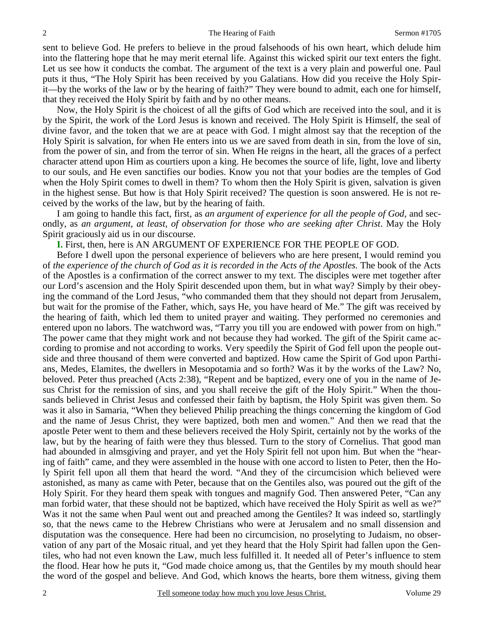sent to believe God. He prefers to believe in the proud falsehoods of his own heart, which delude him into the flattering hope that he may merit eternal life. Against this wicked spirit our text enters the fight. Let us see how it conducts the combat. The argument of the text is a very plain and powerful one. Paul puts it thus, "The Holy Spirit has been received by you Galatians. How did you receive the Holy Spirit—by the works of the law or by the hearing of faith?" They were bound to admit, each one for himself, that they received the Holy Spirit by faith and by no other means.

 Now, the Holy Spirit is the choicest of all the gifts of God which are received into the soul, and it is by the Spirit, the work of the Lord Jesus is known and received. The Holy Spirit is Himself, the seal of divine favor, and the token that we are at peace with God. I might almost say that the reception of the Holy Spirit is salvation, for when He enters into us we are saved from death in sin, from the love of sin, from the power of sin, and from the terror of sin. When He reigns in the heart, all the graces of a perfect character attend upon Him as courtiers upon a king. He becomes the source of life, light, love and liberty to our souls, and He even sanctifies our bodies. Know you not that your bodies are the temples of God when the Holy Spirit comes to dwell in them? To whom then the Holy Spirit is given, salvation is given in the highest sense. But how is that Holy Spirit received? The question is soon answered. He is not received by the works of the law, but by the hearing of faith.

 I am going to handle this fact, first, as *an argument of experience for all the people of God,* and secondly, as *an argument, at least, of observation for those who are seeking after Christ*. May the Holy Spirit graciously aid us in our discourse.

**I.** First, then, here is AN ARGUMENT OF EXPERIENCE FOR THE PEOPLE OF GOD.

 Before I dwell upon the personal experience of believers who are here present, I would remind you of *the experience of the church of God as it is recorded in the Acts of the Apostles.* The book of the Acts of the Apostles is a confirmation of the correct answer to my text. The disciples were met together after our Lord's ascension and the Holy Spirit descended upon them, but in what way? Simply by their obeying the command of the Lord Jesus, "who commanded them that they should not depart from Jerusalem, but wait for the promise of the Father, which, says He, you have heard of Me." The gift was received by the hearing of faith, which led them to united prayer and waiting. They performed no ceremonies and entered upon no labors. The watchword was, "Tarry you till you are endowed with power from on high." The power came that they might work and not because they had worked. The gift of the Spirit came according to promise and not according to works. Very speedily the Spirit of God fell upon the people outside and three thousand of them were converted and baptized. How came the Spirit of God upon Parthians, Medes, Elamites, the dwellers in Mesopotamia and so forth? Was it by the works of the Law? No, beloved. Peter thus preached (Acts 2:38), "Repent and be baptized, every one of you in the name of Jesus Christ for the remission of sins, and you shall receive the gift of the Holy Spirit." When the thousands believed in Christ Jesus and confessed their faith by baptism, the Holy Spirit was given them. So was it also in Samaria, "When they believed Philip preaching the things concerning the kingdom of God and the name of Jesus Christ, they were baptized, both men and women." And then we read that the apostle Peter went to them and these believers received the Holy Spirit, certainly not by the works of the law, but by the hearing of faith were they thus blessed. Turn to the story of Cornelius. That good man had abounded in almsgiving and prayer, and yet the Holy Spirit fell not upon him. But when the "hearing of faith" came, and they were assembled in the house with one accord to listen to Peter, then the Holy Spirit fell upon all them that heard the word. "And they of the circumcision which believed were astonished, as many as came with Peter, because that on the Gentiles also, was poured out the gift of the Holy Spirit. For they heard them speak with tongues and magnify God. Then answered Peter, "Can any man forbid water, that these should not be baptized, which have received the Holy Spirit as well as we?" Was it not the same when Paul went out and preached among the Gentiles? It was indeed so, startlingly so, that the news came to the Hebrew Christians who were at Jerusalem and no small dissension and disputation was the consequence. Here had been no circumcision, no proselyting to Judaism, no observation of any part of the Mosaic ritual, and yet they heard that the Holy Spirit had fallen upon the Gentiles, who had not even known the Law, much less fulfilled it. It needed all of Peter's influence to stem the flood. Hear how he puts it, "God made choice among us, that the Gentiles by my mouth should hear the word of the gospel and believe. And God, which knows the hearts, bore them witness, giving them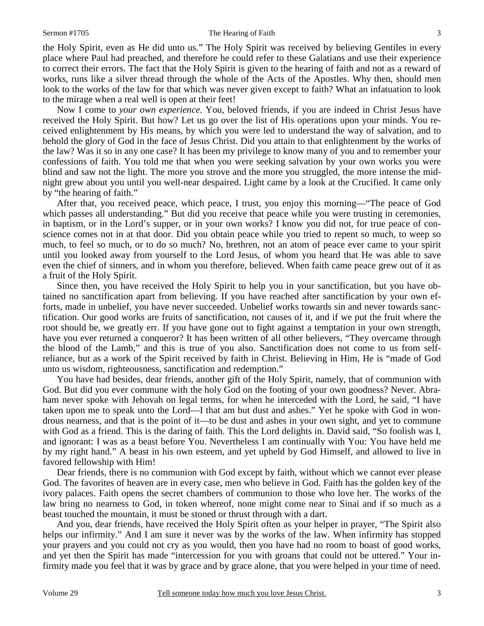#### Sermon #1705 The Hearing of Faith 3

the Holy Spirit, even as He did unto us." The Holy Spirit was received by believing Gentiles in every place where Paul had preached, and therefore he could refer to these Galatians and use their experience to correct their errors. The fact that the Holy Spirit is given to the hearing of faith and not as a reward of works, runs like a silver thread through the whole of the Acts of the Apostles. Why then, should men look to the works of the law for that which was never given except to faith? What an infatuation to look to the mirage when a real well is open at their feet!

 Now I come to *your own experience.* You, beloved friends, if you are indeed in Christ Jesus have received the Holy Spirit. But how? Let us go over the list of His operations upon your minds. You received enlightenment by His means, by which you were led to understand the way of salvation, and to behold the glory of God in the face of Jesus Christ. Did you attain to that enlightenment by the works of the law? Was it so in any one case? It has been my privilege to know many of you and to remember your confessions of faith. You told me that when you were seeking salvation by your own works you were blind and saw not the light. The more you strove and the more you struggled, the more intense the midnight grew about you until you well-near despaired. Light came by a look at the Crucified. It came only by "the hearing of faith."

 After that, you received peace, which peace, I trust, you enjoy this morning—"The peace of God which passes all understanding." But did you receive that peace while you were trusting in ceremonies, in baptism, or in the Lord's supper, or in your own works? I know you did not, for true peace of conscience comes not in at that door. Did you obtain peace while you tried to repent so much, to weep so much, to feel so much, or to do so much? No, brethren, not an atom of peace ever came to your spirit until you looked away from yourself to the Lord Jesus, of whom you heard that He was able to save even the chief of sinners, and in whom you therefore, believed. When faith came peace grew out of it as a fruit of the Holy Spirit.

 Since then, you have received the Holy Spirit to help you in your sanctification, but you have obtained no sanctification apart from believing. If you have reached after sanctification by your own efforts, made in unbelief, you have never succeeded. Unbelief works towards sin and never towards sanctification. Our good works are fruits of sanctification, not causes of it, and if we put the fruit where the root should be, we greatly err. If you have gone out to fight against a temptation in your own strength, have you ever returned a conqueror? It has been written of all other believers, "They overcame through the blood of the Lamb," and this is true of you also. Sanctification does not come to us from selfreliance, but as a work of the Spirit received by faith in Christ. Believing in Him, He is "made of God unto us wisdom, righteousness, sanctification and redemption."

 You have had besides, dear friends, another gift of the Holy Spirit, namely, that of communion with God. But did you ever commune with the holy God on the footing of your own goodness? Never. Abraham never spoke with Jehovah on legal terms, for when he interceded with the Lord, he said, "I have taken upon me to speak unto the Lord—I that am but dust and ashes." Yet he spoke with God in wondrous nearness, and that is the point of it—to be dust and ashes in your own sight, and yet to commune with God as a friend. This is the daring of faith. This the Lord delights in. David said, "So foolish was I, and ignorant: I was as a beast before You. Nevertheless I am continually with You: You have held me by my right hand." A beast in his own esteem, and yet upheld by God Himself, and allowed to live in favored fellowship with Him!

 Dear friends, there is no communion with God except by faith, without which we cannot ever please God. The favorites of heaven are in every case, men who believe in God. Faith has the golden key of the ivory palaces. Faith opens the secret chambers of communion to those who love her. The works of the law bring no nearness to God, in token whereof, none might come near to Sinai and if so much as a beast touched the mountain, it must be stoned or thrust through with a dart.

 And you, dear friends, have received the Holy Spirit often as your helper in prayer, "The Spirit also helps our infirmity." And I am sure it never was by the works of the law. When infirmity has stopped your prayers and you could not cry as you would, then you have had no room to boast of good works, and yet then the Spirit has made "intercession for you with groans that could not be uttered." Your infirmity made you feel that it was by grace and by grace alone, that you were helped in your time of need.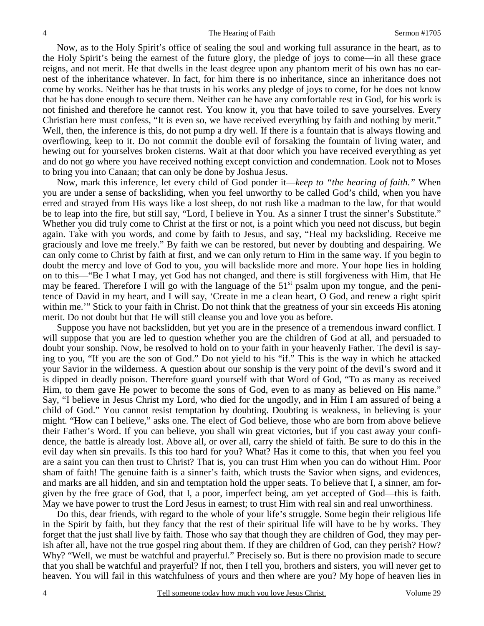Now, as to the Holy Spirit's office of sealing the soul and working full assurance in the heart, as to the Holy Spirit's being the earnest of the future glory, the pledge of joys to come—in all these grace reigns, and not merit. He that dwells in the least degree upon any phantom merit of his own has no earnest of the inheritance whatever. In fact, for him there is no inheritance, since an inheritance does not come by works. Neither has he that trusts in his works any pledge of joys to come, for he does not know that he has done enough to secure them. Neither can he have any comfortable rest in God, for his work is not finished and therefore he cannot rest. You know it, you that have toiled to save yourselves. Every Christian here must confess, "It is even so, we have received everything by faith and nothing by merit." Well, then, the inference is this, do not pump a dry well. If there is a fountain that is always flowing and overflowing, keep to it. Do not commit the double evil of forsaking the fountain of living water, and hewing out for yourselves broken cisterns. Wait at that door which you have received everything as yet and do not go where you have received nothing except conviction and condemnation. Look not to Moses to bring you into Canaan; that can only be done by Joshua Jesus.

 Now, mark this inference, let every child of God ponder it—*keep to "the hearing of faith."* When you are under a sense of backsliding, when you feel unworthy to be called God's child, when you have erred and strayed from His ways like a lost sheep, do not rush like a madman to the law, for that would be to leap into the fire, but still say, "Lord, I believe in You. As a sinner I trust the sinner's Substitute." Whether you did truly come to Christ at the first or not, is a point which you need not discuss, but begin again. Take with you words, and come by faith to Jesus, and say, "Heal my backsliding. Receive me graciously and love me freely." By faith we can be restored, but never by doubting and despairing. We can only come to Christ by faith at first, and we can only return to Him in the same way. If you begin to doubt the mercy and love of God to you, you will backslide more and more. Your hope lies in holding on to this—"Be I what I may, yet God has not changed, and there is still forgiveness with Him, that He may be feared. Therefore I will go with the language of the  $51<sup>st</sup>$  psalm upon my tongue, and the penitence of David in my heart, and I will say, 'Create in me a clean heart, O God, and renew a right spirit within me.'" Stick to your faith in Christ. Do not think that the greatness of your sin exceeds His atoning merit. Do not doubt but that He will still cleanse you and love you as before.

 Suppose you have not backslidden, but yet you are in the presence of a tremendous inward conflict. I will suppose that you are led to question whether you are the children of God at all, and persuaded to doubt your sonship. Now, be resolved to hold on to your faith in your heavenly Father. The devil is saying to you, "If you are the son of God." Do not yield to his "if." This is the way in which he attacked your Savior in the wilderness. A question about our sonship is the very point of the devil's sword and it is dipped in deadly poison. Therefore guard yourself with that Word of God, "To as many as received Him, to them gave He power to become the sons of God, even to as many as believed on His name." Say, "I believe in Jesus Christ my Lord, who died for the ungodly, and in Him I am assured of being a child of God." You cannot resist temptation by doubting. Doubting is weakness, in believing is your might. "How can I believe," asks one. The elect of God believe, those who are born from above believe their Father's Word. If you can believe, you shall win great victories, but if you cast away your confidence, the battle is already lost. Above all, or over all, carry the shield of faith. Be sure to do this in the evil day when sin prevails. Is this too hard for you? What? Has it come to this, that when you feel you are a saint you can then trust to Christ? That is, you can trust Him when you can do without Him. Poor sham of faith! The genuine faith is a sinner's faith, which trusts the Savior when signs, and evidences, and marks are all hidden, and sin and temptation hold the upper seats. To believe that I, a sinner, am forgiven by the free grace of God, that I, a poor, imperfect being, am yet accepted of God—this is faith. May we have power to trust the Lord Jesus in earnest; to trust Him with real sin and real unworthiness.

 Do this, dear friends, with regard to the whole of your life's struggle. Some begin their religious life in the Spirit by faith, but they fancy that the rest of their spiritual life will have to be by works. They forget that the just shall live by faith. Those who say that though they are children of God, they may perish after all, have not the true gospel ring about them. If they are children of God, can they perish? How? Why? "Well, we must be watchful and prayerful." Precisely so. But is there no provision made to secure that you shall be watchful and prayerful? If not, then I tell you, brothers and sisters, you will never get to heaven. You will fail in this watchfulness of yours and then where are you? My hope of heaven lies in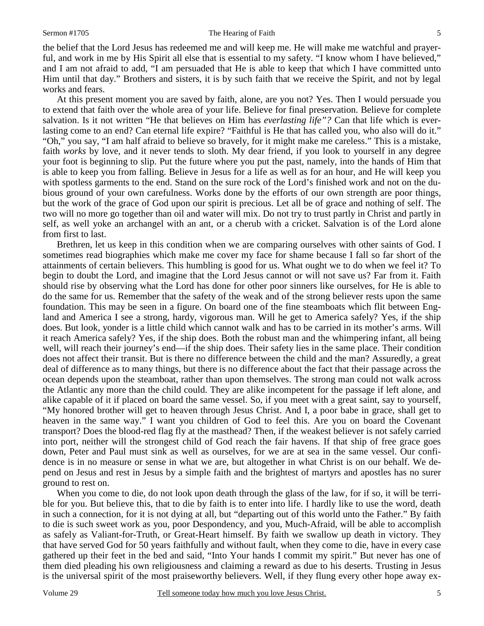#### Sermon #1705 The Hearing of Faith 5

the belief that the Lord Jesus has redeemed me and will keep me. He will make me watchful and prayerful, and work in me by His Spirit all else that is essential to my safety. "I know whom I have believed," and I am not afraid to add, "I am persuaded that He is able to keep that which I have committed unto Him until that day." Brothers and sisters, it is by such faith that we receive the Spirit, and not by legal works and fears.

 At this present moment you are saved by faith, alone, are you not? Yes. Then I would persuade you to extend that faith over the whole area of your life. Believe for final preservation. Believe for complete salvation. Is it not written "He that believes on Him has *everlasting life"?* Can that life which is everlasting come to an end? Can eternal life expire? "Faithful is He that has called you, who also will do it." "Oh," you say, "I am half afraid to believe so bravely, for it might make me careless." This is a mistake, faith *works* by love, and it never tends to sloth. My dear friend, if you look to yourself in any degree your foot is beginning to slip. Put the future where you put the past, namely, into the hands of Him that is able to keep you from falling. Believe in Jesus for a life as well as for an hour, and He will keep you with spotless garments to the end. Stand on the sure rock of the Lord's finished work and not on the dubious ground of your own carefulness. Works done by the efforts of our own strength are poor things, but the work of the grace of God upon our spirit is precious. Let all be of grace and nothing of self. The two will no more go together than oil and water will mix. Do not try to trust partly in Christ and partly in self, as well yoke an archangel with an ant, or a cherub with a cricket. Salvation is of the Lord alone from first to last.

 Brethren, let us keep in this condition when we are comparing ourselves with other saints of God. I sometimes read biographies which make me cover my face for shame because I fall so far short of the attainments of certain believers. This humbling is good for us. What ought we to do when we feel it? To begin to doubt the Lord, and imagine that the Lord Jesus cannot or will not save us? Far from it. Faith should rise by observing what the Lord has done for other poor sinners like ourselves, for He is able to do the same for us. Remember that the safety of the weak and of the strong believer rests upon the same foundation. This may be seen in a figure. On board one of the fine steamboats which flit between England and America I see a strong, hardy, vigorous man. Will he get to America safely? Yes, if the ship does. But look, yonder is a little child which cannot walk and has to be carried in its mother's arms. Will it reach America safely? Yes, if the ship does. Both the robust man and the whimpering infant, all being well, will reach their journey's end—if the ship does. Their safety lies in the same place. Their condition does not affect their transit. But is there no difference between the child and the man? Assuredly, a great deal of difference as to many things, but there is no difference about the fact that their passage across the ocean depends upon the steamboat, rather than upon themselves. The strong man could not walk across the Atlantic any more than the child could. They are alike incompetent for the passage if left alone, and alike capable of it if placed on board the same vessel. So, if you meet with a great saint, say to yourself, "My honored brother will get to heaven through Jesus Christ. And I, a poor babe in grace, shall get to heaven in the same way." I want you children of God to feel this. Are you on board the Covenant transport? Does the blood-red flag fly at the masthead? Then, if the weakest believer is not safely carried into port, neither will the strongest child of God reach the fair havens. If that ship of free grace goes down, Peter and Paul must sink as well as ourselves, for we are at sea in the same vessel. Our confidence is in no measure or sense in what we are, but altogether in what Christ is on our behalf. We depend on Jesus and rest in Jesus by a simple faith and the brightest of martyrs and apostles has no surer ground to rest on.

When you come to die, do not look upon death through the glass of the law, for if so, it will be terrible for you. But believe this, that to die by faith is to enter into life. I hardly like to use the word, death in such a connection, for it is not dying at all, but "departing out of this world unto the Father." By faith to die is such sweet work as you, poor Despondency, and you, Much-Afraid, will be able to accomplish as safely as Valiant-for-Truth, or Great-Heart himself. By faith we swallow up death in victory. They that have served God for 50 years faithfully and without fault, when they come to die, have in every case gathered up their feet in the bed and said, "Into Your hands I commit my spirit." But never has one of them died pleading his own religiousness and claiming a reward as due to his deserts. Trusting in Jesus is the universal spirit of the most praiseworthy believers. Well, if they flung every other hope away ex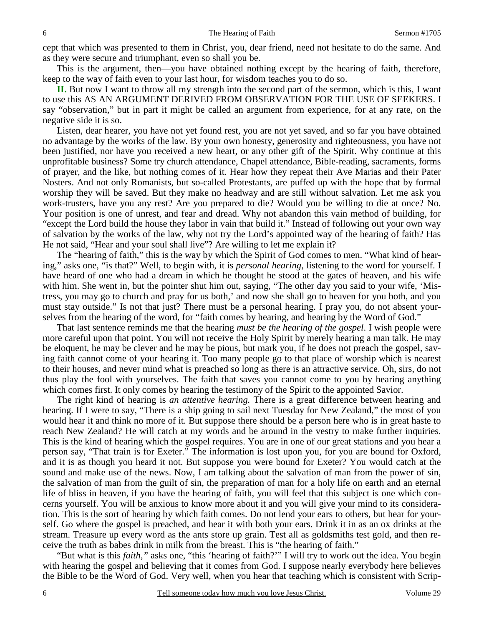cept that which was presented to them in Christ, you, dear friend, need not hesitate to do the same. And as they were secure and triumphant, even so shall you be.

 This is the argument, then—you have obtained nothing except by the hearing of faith, therefore, keep to the way of faith even to your last hour, for wisdom teaches you to do so.

**II.** But now I want to throw all my strength into the second part of the sermon, which is this, I want to use this AS AN ARGUMENT DERIVED FROM OBSERVATION FOR THE USE OF SEEKERS. I say "observation," but in part it might be called an argument from experience, for at any rate, on the negative side it is so.

 Listen, dear hearer, you have not yet found rest, you are not yet saved, and so far you have obtained no advantage by the works of the law. By your own honesty, generosity and righteousness, you have not been justified, nor have you received a new heart, or any other gift of the Spirit. Why continue at this unprofitable business? Some try church attendance, Chapel attendance, Bible-reading, sacraments, forms of prayer, and the like, but nothing comes of it. Hear how they repeat their Ave Marias and their Pater Nosters. And not only Romanists, but so-called Protestants, are puffed up with the hope that by formal worship they will be saved. But they make no headway and are still without salvation. Let me ask you work-trusters, have you any rest? Are you prepared to die? Would you be willing to die at once? No. Your position is one of unrest, and fear and dread. Why not abandon this vain method of building, for "except the Lord build the house they labor in vain that build it." Instead of following out your own way of salvation by the works of the law, why not try the Lord's appointed way of the hearing of faith? Has He not said, "Hear and your soul shall live"? Are willing to let me explain it?

 The "hearing of faith," this is the way by which the Spirit of God comes to men. "What kind of hearing," asks one, "is that?" Well, to begin with, it is *personal hearing,* listening to the word for yourself. I have heard of one who had a dream in which he thought he stood at the gates of heaven, and his wife with him. She went in, but the pointer shut him out, saying, "The other day you said to your wife, 'Mistress, you may go to church and pray for us both,' and now she shall go to heaven for you both, and you must stay outside." Is not that just? There must be a personal hearing. I pray you, do not absent yourselves from the hearing of the word, for "faith comes by hearing, and hearing by the Word of God."

 That last sentence reminds me that the hearing *must be the hearing of the gospel*. I wish people were more careful upon that point. You will not receive the Holy Spirit by merely hearing a man talk. He may be eloquent, he may be clever and he may be pious, but mark you, if he does not preach the gospel, saving faith cannot come of your hearing it. Too many people go to that place of worship which is nearest to their houses, and never mind what is preached so long as there is an attractive service. Oh, sirs, do not thus play the fool with yourselves. The faith that saves you cannot come to you by hearing anything which comes first. It only comes by hearing the testimony of the Spirit to the appointed Savior.

 The right kind of hearing is *an attentive hearing.* There is a great difference between hearing and hearing. If I were to say, "There is a ship going to sail next Tuesday for New Zealand," the most of you would hear it and think no more of it. But suppose there should be a person here who is in great haste to reach New Zealand? He will catch at my words and be around in the vestry to make further inquiries. This is the kind of hearing which the gospel requires. You are in one of our great stations and you hear a person say, "That train is for Exeter." The information is lost upon you, for you are bound for Oxford, and it is as though you heard it not. But suppose you were bound for Exeter? You would catch at the sound and make use of the news. Now, I am talking about the salvation of man from the power of sin, the salvation of man from the guilt of sin, the preparation of man for a holy life on earth and an eternal life of bliss in heaven, if you have the hearing of faith, you will feel that this subject is one which concerns yourself. You will be anxious to know more about it and you will give your mind to its consideration. This is the sort of hearing by which faith comes. Do not lend your ears to others, but hear for yourself. Go where the gospel is preached, and hear it with both your ears. Drink it in as an ox drinks at the stream. Treasure up every word as the ants store up grain. Test all as goldsmiths test gold, and then receive the truth as babes drink in milk from the breast. This is "the hearing of faith."

 "But what is this *faith,"* asks one, "this 'hearing of faith?'" I will try to work out the idea. You begin with hearing the gospel and believing that it comes from God. I suppose nearly everybody here believes the Bible to be the Word of God. Very well, when you hear that teaching which is consistent with Scrip-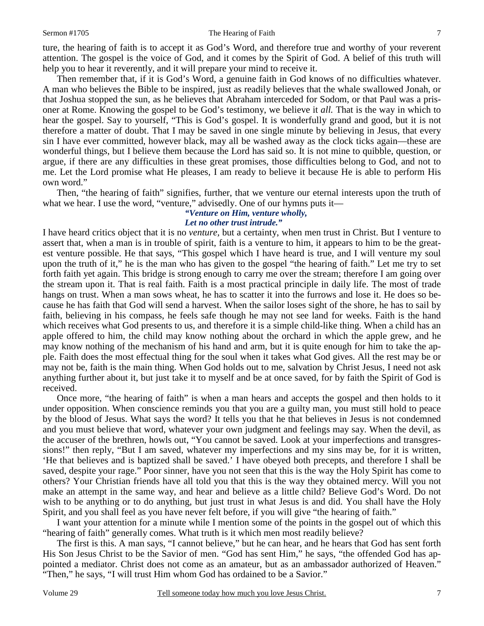#### Sermon #1705 The Hearing of Faith 7

ture, the hearing of faith is to accept it as God's Word, and therefore true and worthy of your reverent attention. The gospel is the voice of God, and it comes by the Spirit of God. A belief of this truth will help you to hear it reverently, and it will prepare your mind to receive it.

 Then remember that, if it is God's Word, a genuine faith in God knows of no difficulties whatever. A man who believes the Bible to be inspired, just as readily believes that the whale swallowed Jonah, or that Joshua stopped the sun, as he believes that Abraham interceded for Sodom, or that Paul was a prisoner at Rome. Knowing the gospel to be God's testimony, we believe it *all.* That is the way in which to hear the gospel. Say to yourself, "This is God's gospel. It is wonderfully grand and good, but it is not therefore a matter of doubt. That I may be saved in one single minute by believing in Jesus, that every sin I have ever committed, however black, may all be washed away as the clock ticks again—these are wonderful things, but I believe them because the Lord has said so. It is not mine to quibble, question, or argue, if there are any difficulties in these great promises, those difficulties belong to God, and not to me. Let the Lord promise what He pleases, I am ready to believe it because He is able to perform His own word."

 Then, "the hearing of faith" signifies, further, that we venture our eternal interests upon the truth of what we hear. I use the word, "venture," advisedly. One of our hymns puts it—

### *"Venture on Him, venture wholly, Let no other trust intrude."*

I have heard critics object that it is no *venture,* but a certainty, when men trust in Christ. But I venture to assert that, when a man is in trouble of spirit, faith is a venture to him, it appears to him to be the greatest venture possible. He that says, "This gospel which I have heard is true, and I will venture my soul upon the truth of it," he is the man who has given to the gospel "the hearing of faith." Let me try to set forth faith yet again. This bridge is strong enough to carry me over the stream; therefore I am going over the stream upon it. That is real faith. Faith is a most practical principle in daily life. The most of trade hangs on trust. When a man sows wheat, he has to scatter it into the furrows and lose it. He does so because he has faith that God will send a harvest. When the sailor loses sight of the shore, he has to sail by faith, believing in his compass, he feels safe though he may not see land for weeks. Faith is the hand which receives what God presents to us, and therefore it is a simple child-like thing. When a child has an apple offered to him, the child may know nothing about the orchard in which the apple grew, and he may know nothing of the mechanism of his hand and arm, but it is quite enough for him to take the apple. Faith does the most effectual thing for the soul when it takes what God gives. All the rest may be or may not be, faith is the main thing. When God holds out to me, salvation by Christ Jesus, I need not ask anything further about it, but just take it to myself and be at once saved, for by faith the Spirit of God is received.

 Once more, "the hearing of faith" is when a man hears and accepts the gospel and then holds to it under opposition. When conscience reminds you that you are a guilty man, you must still hold to peace by the blood of Jesus. What says the word? It tells you that he that believes in Jesus is not condemned and you must believe that word, whatever your own judgment and feelings may say. When the devil, as the accuser of the brethren, howls out, "You cannot be saved. Look at your imperfections and transgressions!" then reply, "But I am saved, whatever my imperfections and my sins may be, for it is written, 'He that believes and is baptized shall be saved.' I have obeyed both precepts, and therefore I shall be saved, despite your rage." Poor sinner, have you not seen that this is the way the Holy Spirit has come to others? Your Christian friends have all told you that this is the way they obtained mercy. Will you not make an attempt in the same way, and hear and believe as a little child? Believe God's Word. Do not wish to be anything or to do anything, but just trust in what Jesus is and did. You shall have the Holy Spirit, and you shall feel as you have never felt before, if you will give "the hearing of faith."

 I want your attention for a minute while I mention some of the points in the gospel out of which this "hearing of faith" generally comes. What truth is it which men most readily believe?

 The first is this. A man says, "I cannot believe," but he can hear, and he hears that God has sent forth His Son Jesus Christ to be the Savior of men. "God has sent Him," he says, "the offended God has appointed a mediator. Christ does not come as an amateur, but as an ambassador authorized of Heaven." "Then," he says, "I will trust Him whom God has ordained to be a Savior."